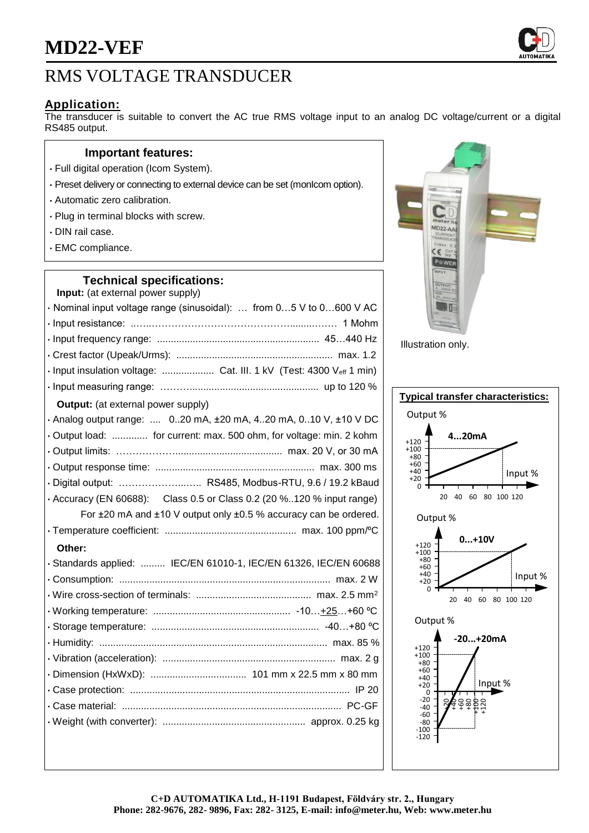## RMS VOLTAGE TRANSDUCER

## **Application:**

The transducer is suitable to convert the AC true RMS voltage input to an analog DC voltage/current or a digital RS485 output.

### **Important features:**

- Full digital operation (Icom System).
- Preset delivery or connecting to external device can be set (monIcom option).
- Automatic zero calibration.
- Plug in terminal blocks with screw.
- DIN rail case.
- EMC compliance.

## **Technical specifications:**

| Input: (at external power supply)                                               |
|---------------------------------------------------------------------------------|
| · Nominal input voltage range (sinusoidal):  from 05 V to 0600 V AC             |
|                                                                                 |
|                                                                                 |
|                                                                                 |
| · Input insulation voltage:  Cat. III. 1 kV (Test: 4300 Veff 1 min)             |
|                                                                                 |
| <b>Output:</b> (at external power supply)                                       |
| . Analog output range:  020 mA, ±20 mA, 420 mA, 010 V, ±10 V DC                 |
| . Output load:  for current: max. 500 ohm, for voltage: min. 2 kohm             |
|                                                                                 |
|                                                                                 |
| · Digital output:  RS485, Modbus-RTU, 9.6 / 19.2 kBaud                          |
| $\cdot$ Accuracy (EN 60688): Class 0.5 or Class 0.2 (20 %120 % input range)     |
| For $\pm 20$ mA and $\pm 10$ V output only $\pm 0.5$ % accuracy can be ordered. |
|                                                                                 |
| Other:                                                                          |
| · Standards applied:  IEC/EN 61010-1, IEC/EN 61326, IEC/EN 60688                |
|                                                                                 |
|                                                                                 |
|                                                                                 |
|                                                                                 |
|                                                                                 |
|                                                                                 |
|                                                                                 |
|                                                                                 |
|                                                                                 |
|                                                                                 |
|                                                                                 |



Illustration only.